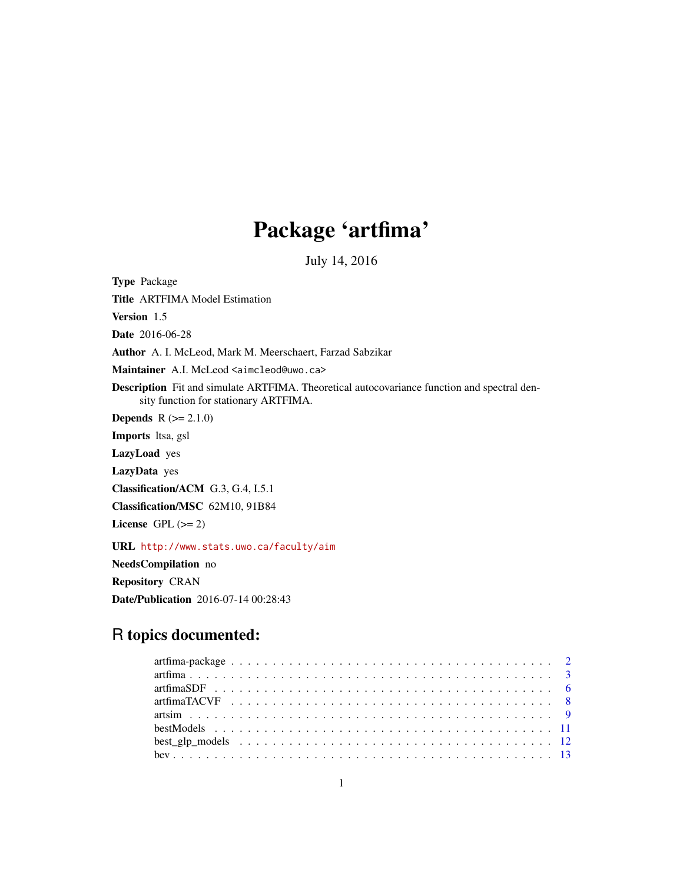## Package 'artfima'

July 14, 2016

<span id="page-0-0"></span>Type Package Title ARTFIMA Model Estimation Version 1.5 Date 2016-06-28 Author A. I. McLeod, Mark M. Meerschaert, Farzad Sabzikar Maintainer A.I. McLeod <aimcleod@uwo.ca> Description Fit and simulate ARTFIMA. Theoretical autocovariance function and spectral density function for stationary ARTFIMA. **Depends**  $R (= 2.1.0)$ Imports ltsa, gsl LazyLoad yes LazyData yes Classification/ACM G.3, G.4, I.5.1 Classification/MSC 62M10, 91B84 License GPL  $(>= 2)$ URL <http://www.stats.uwo.ca/faculty/aim> NeedsCompilation no Repository CRAN

Date/Publication 2016-07-14 00:28:43

## R topics documented: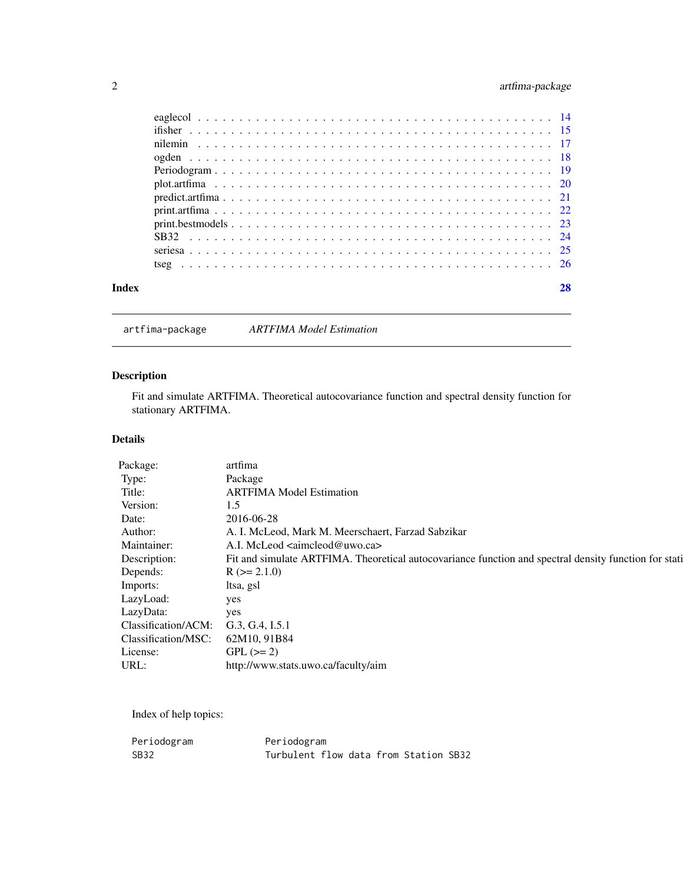## <span id="page-1-0"></span>2 artfima-package

| Index | 28 |
|-------|----|
|       |    |
|       |    |
|       |    |
|       |    |
|       |    |
|       |    |
|       |    |
|       |    |
|       |    |
|       |    |
|       |    |
|       |    |

artfima-package *ARTFIMA Model Estimation*

## Description

Fit and simulate ARTFIMA. Theoretical autocovariance function and spectral density function for stationary ARTFIMA.

#### Details

| Package:            | artfima                                                                                               |
|---------------------|-------------------------------------------------------------------------------------------------------|
| Type:               | Package                                                                                               |
| Title:              | <b>ARTFIMA Model Estimation</b>                                                                       |
| Version:            | 1.5                                                                                                   |
| Date:               | 2016-06-28                                                                                            |
| Author:             | A. I. McLeod, Mark M. Meerschaert, Farzad Sabzikar                                                    |
| Maintainer:         | A.I. McLeod <aimcleod@uwo.ca></aimcleod@uwo.ca>                                                       |
| Description:        | Fit and simulate ARTFIMA. Theoretical autocovariance function and spectral density function for stati |
| Depends:            | $R (= 2.1.0)$                                                                                         |
| Imports:            | ltsa, gsl                                                                                             |
| LazyLoad:           | yes                                                                                                   |
| LazyData:           | yes                                                                                                   |
| Classification/ACM: | G.3, G.4, I.5.1                                                                                       |
| Classification/MSC: | 62M10, 91B84                                                                                          |
| License:            | $GPL (=2)$                                                                                            |
| URL:                | http://www.stats.uwo.ca/faculty/aim                                                                   |
|                     |                                                                                                       |

Index of help topics:

| Periodogram      | Periodogram                           |  |  |  |
|------------------|---------------------------------------|--|--|--|
| SB <sub>32</sub> | Turbulent flow data from Station SB32 |  |  |  |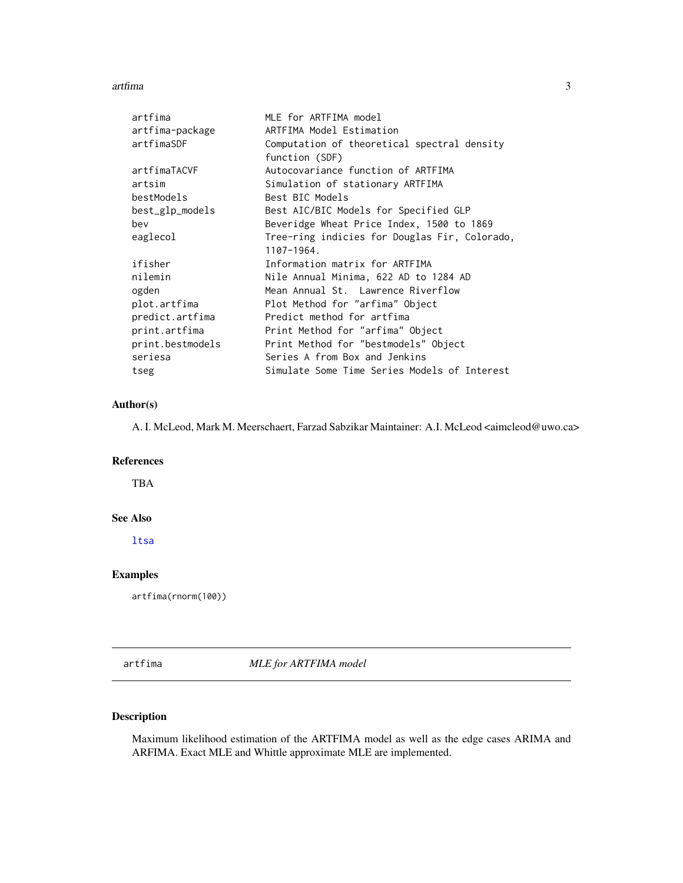#### <span id="page-2-0"></span>artfima and the state of the state of the state of the state of the state of the state of the state of the state of the state of the state of the state of the state of the state of the state of the state of the state of th

| artfima          | MLE for ARTFIMA model                         |
|------------------|-----------------------------------------------|
| artfima-package  | ARTFIMA Model Estimation                      |
| artfimaSDF       | Computation of theoretical spectral density   |
|                  | function (SDF)                                |
| artfimaTACVF     | Autocovariance function of ARTFIMA            |
| artsim           | Simulation of stationary ARTFIMA              |
| bestModels       | Best BIC Models                               |
| best_glp_models  | Best AIC/BIC Models for Specified GLP         |
| bev              | Beveridge Wheat Price Index, 1500 to 1869     |
| eaglecol         | Tree-ring indicies for Douglas Fir, Colorado, |
|                  | $1107 - 1964.$                                |
| ifisher          | Information matrix for ARTFIMA                |
| nilemin          | Nile Annual Minima, 622 AD to 1284 AD         |
| ogden            | Mean Annual St. Lawrence Riverflow            |
| plot.artfima     | Plot Method for "arfima" Object               |
| predict.artfima  | Predict method for artfima                    |
| print.artfima    | Print Method for "arfima" Object              |
| print.bestmodels | Print Method for "bestmodels" Object          |
| seriesa          | Series A from Box and Jenkins                 |
| tseg             | Simulate Some Time Series Models of Interest  |

## Author(s)

A. I. McLeod, Mark M. Meerschaert, Farzad Sabzikar Maintainer: A.I. McLeod <aimcleod@uwo.ca>

## References

TBA

## See Also

[ltsa](#page-0-0)

## Examples

artfima(rnorm(100))

<span id="page-2-1"></span>artfima *MLE for ARTFIMA model*

## Description

Maximum likelihood estimation of the ARTFIMA model as well as the edge cases ARIMA and ARFIMA. Exact MLE and Whittle approximate MLE are implemented.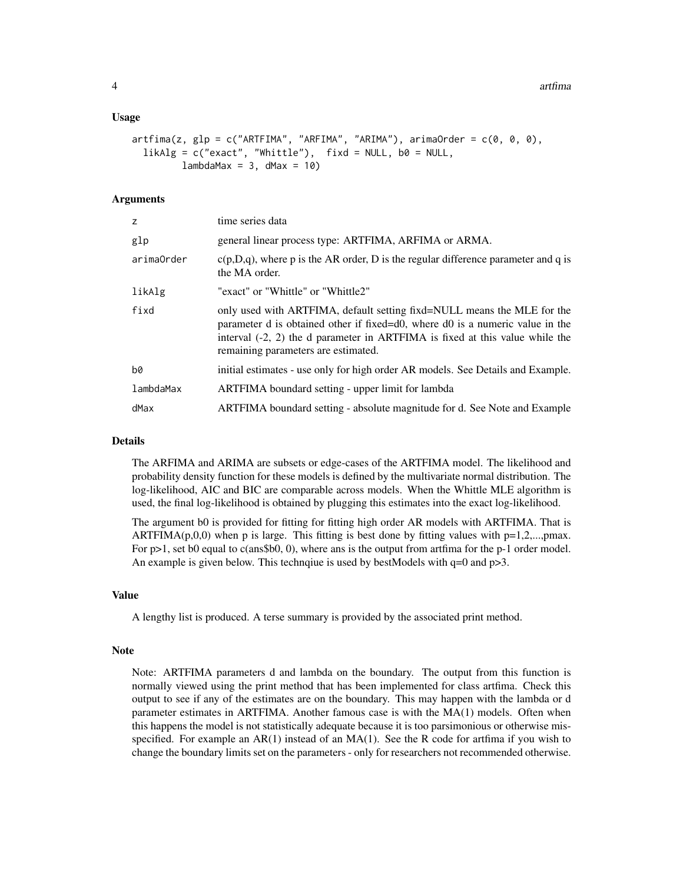#### Usage

```
artfima(z, glp = c("ARTFIMA", "ARTFIMA", "ARTAMA"), arimaOrder = c(0, 0, 0),likAlg = c("exact", "White"), fixd = NULL, b0 = NULL,
        lambdaMax = 3, dMax = 10
```
#### Arguments

| Z.         | time series data                                                                                                                                                                                                                                                                  |
|------------|-----------------------------------------------------------------------------------------------------------------------------------------------------------------------------------------------------------------------------------------------------------------------------------|
| glp        | general linear process type: ARTFIMA, ARFIMA or ARMA.                                                                                                                                                                                                                             |
| arimaOrder | $c(p, D, q)$ , where p is the AR order, D is the regular difference parameter and q is<br>the MA order.                                                                                                                                                                           |
| likAlg     | "exact" or "Whittle" or "Whittle2"                                                                                                                                                                                                                                                |
| fixd       | only used with ARTFIMA, default setting fixd=NULL means the MLE for the<br>parameter d is obtained other if fixed=d0, where d0 is a numeric value in the<br>interval $(-2, 2)$ the d parameter in ARTFIMA is fixed at this value while the<br>remaining parameters are estimated. |
| b0         | initial estimates - use only for high order AR models. See Details and Example.                                                                                                                                                                                                   |
| lambdaMax  | ARTFIMA boundard setting - upper limit for lambda                                                                                                                                                                                                                                 |
| dMax       | ARTFIMA boundard setting - absolute magnitude for d. See Note and Example                                                                                                                                                                                                         |

#### Details

The ARFIMA and ARIMA are subsets or edge-cases of the ARTFIMA model. The likelihood and probability density function for these models is defined by the multivariate normal distribution. The log-likelihood, AIC and BIC are comparable across models. When the Whittle MLE algorithm is used, the final log-likelihood is obtained by plugging this estimates into the exact log-likelihood.

The argument b0 is provided for fitting for fitting high order AR models with ARTFIMA. That is  $ARTFIMA(p,0,0)$  when p is large. This fitting is best done by fitting values with  $p=1,2,...,p$  max. For p>1, set b0 equal to c(ans\$b0, 0), where ans is the output from artfima for the p-1 order model. An example is given below. This technqiue is used by bestModels with  $q=0$  and  $p>3$ .

## Value

A lengthy list is produced. A terse summary is provided by the associated print method.

#### Note

Note: ARTFIMA parameters d and lambda on the boundary. The output from this function is normally viewed using the print method that has been implemented for class artfima. Check this output to see if any of the estimates are on the boundary. This may happen with the lambda or d parameter estimates in ARTFIMA. Another famous case is with the MA(1) models. Often when this happens the model is not statistically adequate because it is too parsimonious or otherwise misspecified. For example an  $AR(1)$  instead of an  $MA(1)$ . See the R code for artfima if you wish to change the boundary limits set on the parameters - only for researchers not recommended otherwise.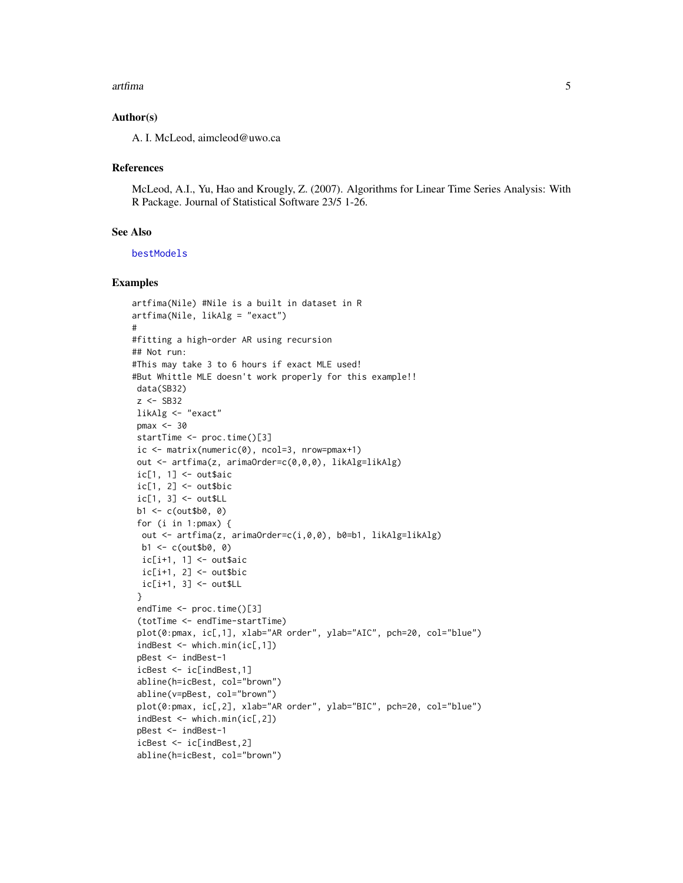#### <span id="page-4-0"></span>artfima **5**

#### Author(s)

A. I. McLeod, aimcleod@uwo.ca

#### References

McLeod, A.I., Yu, Hao and Krougly, Z. (2007). Algorithms for Linear Time Series Analysis: With R Package. Journal of Statistical Software 23/5 1-26.

#### See Also

[bestModels](#page-10-1)

```
artfima(Nile) #Nile is a built in dataset in R
artfima(Nile, likAlg = "exact")
#
#fitting a high-order AR using recursion
## Not run:
#This may take 3 to 6 hours if exact MLE used!
#But Whittle MLE doesn't work properly for this example!!
data(SB32)
z <- SB32
likAlg <- "exact"
pmax <- 30
startTime <- proc.time()[3]
ic \leq matrix(numeric(0), ncol=3, nrow=pmax+1)
out <- artfima(z, arimaOrder=c(0,0,0), likAlg=likAlg)
ic[1, 1] <- out$aic
ic[1, 2] < - out$bic
ic[1, 3] <- out$LL
b1 \leq -c (out $b0, 0)
for (i in 1:pmax) {
 out <- artfima(z, arimaOrder=c(i,0,0), b0=b1, likAlg=likAlg)
 b1 \leq -c (out $b0, 0)
 ic[i+1, 1] <- out$aic
 ic[i+1, 2] \leq out$bicic[i+1, 3] <- out$LL
}
endTime <- proc.time()[3]
 (totTime <- endTime-startTime)
plot(0:pmax, ic[,1], xlab="AR order", ylab="AIC", pch=20, col="blue")
indBest <- which.min(ic[,1])
pBest <- indBest-1
icBest <- ic[indBest,1]
abline(h=icBest, col="brown")
 abline(v=pBest, col="brown")
plot(0:pmax, ic[,2], xlab="AR order", ylab="BIC", pch=20, col="blue")
 indBest <- which.min(ic[,2])
pBest <- indBest-1
icBest <- ic[indBest,2]
abline(h=icBest, col="brown")
```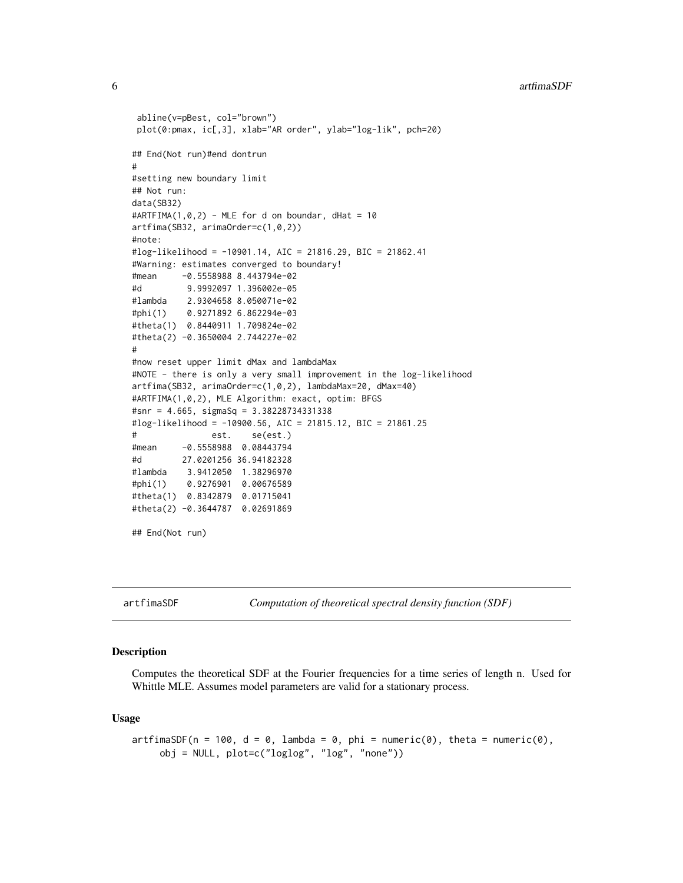```
abline(v=pBest, col="brown")
plot(0:pmax, ic[,3], xlab="AR order", ylab="log-lik", pch=20)
## End(Not run)#end dontrun
#
#setting new boundary limit
## Not run:
data(SB32)
\texttt{HARTFIMA}(1,0,2) - MLE for d on boundar, dHat = 10
artfima(SB32, arimaOrder=c(1,0,2))
#note:
#log-likelihood = -10901.14, AIC = 21816.29, BIC = 21862.41
#Warning: estimates converged to boundary!
#mean -0.5558988 8.443794e-02
#d 9.9992097 1.396002e-05
#lambda 2.9304658 8.050071e-02
#phi(1) 0.9271892 6.862294e-03
#theta(1) 0.8440911 1.709824e-02
#theta(2) -0.3650004 2.744227e-02
#
#now reset upper limit dMax and lambdaMax
#NOTE - there is only a very small improvement in the log-likelihood
artfima(SB32, arimaOrder=c(1,0,2), lambdaMax=20, dMax=40)
#ARTFIMA(1,0,2), MLE Algorithm: exact, optim: BFGS
#snr = 4.665, sigmaSq = 3.38228734331338
#log-likelihood = -10900.56, AIC = 21815.12, BIC = 21861.25
# est. se(est.)
#mean -0.5558988 0.08443794
#d 27.0201256 36.94182328
#lambda 3.9412050 1.38296970
#phi(1) 0.9276901 0.00676589
#theta(1) 0.8342879 0.01715041
#theta(2) -0.3644787 0.02691869
## End(Not run)
```
<span id="page-5-1"></span>artfimaSDF *Computation of theoretical spectral density function (SDF)*

#### **Description**

Computes the theoretical SDF at the Fourier frequencies for a time series of length n. Used for Whittle MLE. Assumes model parameters are valid for a stationary process.

#### Usage

```
artfimaSDF(n = 100, d = 0, lambda = 0, phi = numeric(0), theta = numeric(0),obj = NULL, plot=c("loglog", "log", "none"))
```
<span id="page-5-0"></span>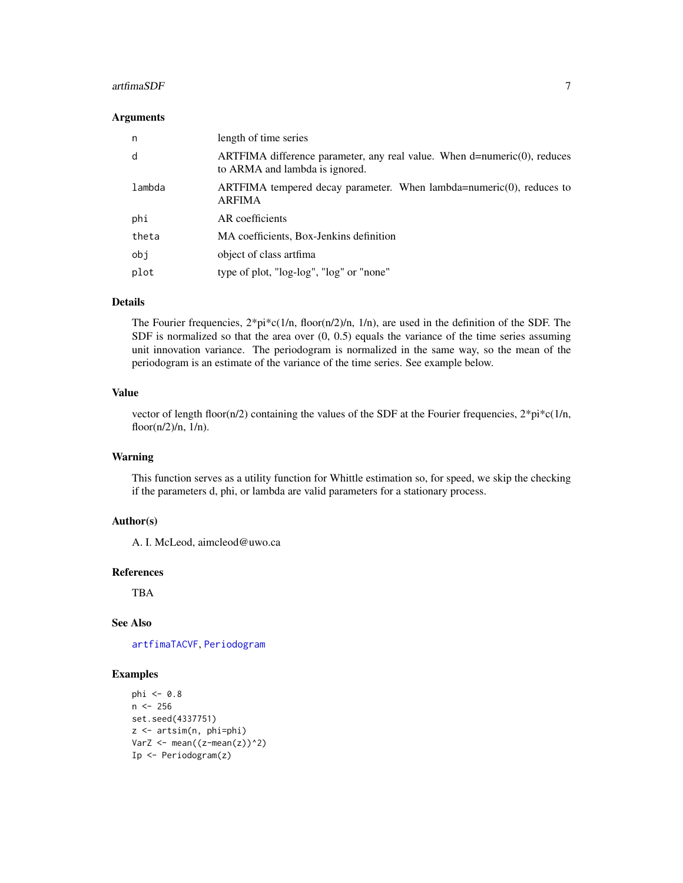#### <span id="page-6-0"></span>artfimaSDF 7

#### **Arguments**

| n      | length of time series                                                                                         |
|--------|---------------------------------------------------------------------------------------------------------------|
| d      | ARTFIMA difference parameter, any real value. When $d=numeric(0)$ , reduces<br>to ARMA and lambda is ignored. |
| lambda | ARTFIMA tempered decay parameter. When $lambda = number(c(0),$ reduces to<br><b>ARFIMA</b>                    |
| phi    | AR coefficients                                                                                               |
| theta  | MA coefficients, Box-Jenkins definition                                                                       |
| obi    | object of class artfima                                                                                       |
| plot   | type of plot, "log-log", "log" or "none"                                                                      |

## Details

The Fourier frequencies,  $2*pi*(1/n, floor(n/2)/n, 1/n)$ , are used in the definition of the SDF. The SDF is normalized so that the area over (0, 0.5) equals the variance of the time series assuming unit innovation variance. The periodogram is normalized in the same way, so the mean of the periodogram is an estimate of the variance of the time series. See example below.

## Value

vector of length floor(n/2) containing the values of the SDF at the Fourier frequencies,  $2*pi*c(1/n$ , floor $(n/2)/n$ ,  $1/n$ ).

#### Warning

This function serves as a utility function for Whittle estimation so, for speed, we skip the checking if the parameters d, phi, or lambda are valid parameters for a stationary process.

## Author(s)

A. I. McLeod, aimcleod@uwo.ca

### References

TBA

## See Also

[artfimaTACVF](#page-7-1), [Periodogram](#page-18-1)

```
phi <- 0.8
n < -256set.seed(4337751)
z <- artsim(n, phi=phi)
VarZ \leq mean((z-mean(z))^2)
Ip <- Periodogram(z)
```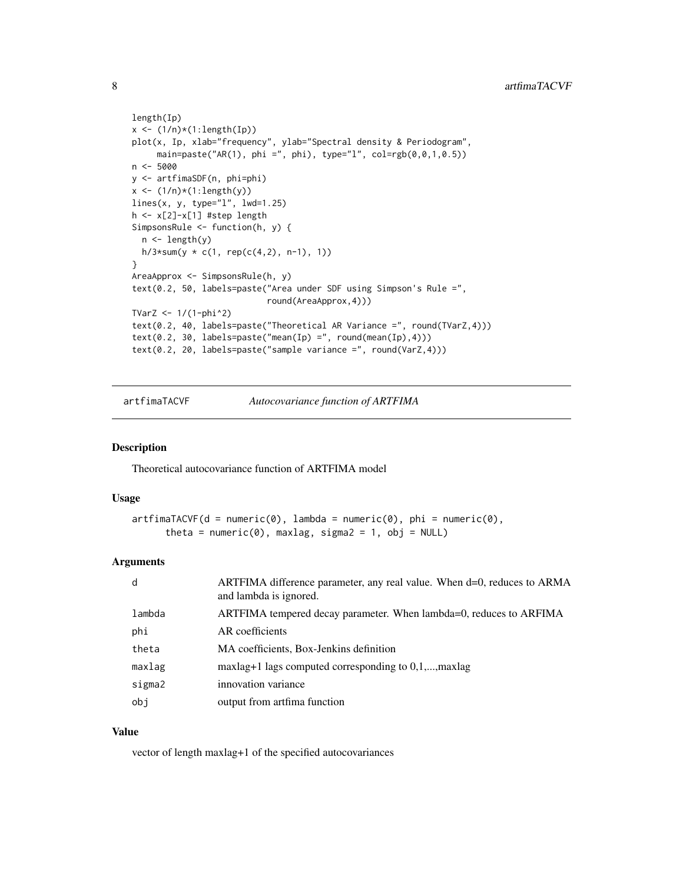```
length(Ip)
x \leftarrow (1/n) * (1:\text{length}(\text{Ip}))plot(x, Ip, xlab="frequency", ylab="Spectral density & Periodogram",
     main = paste("AR(1), phi =", phi), type='l", col=rgb(0, 0, 1, 0.5))n <- 5000
y <- artfimaSDF(n, phi=phi)
x \leftarrow (1/n) * (1:length(y))lines(x, y, type="l", lwd=1.25)
h <- x[2]-x[1] #step length
SimpsonsRule <- function(h, y) {
  n <- length(y)
  h/3*sum(y * c(1, rep(c(4,2), n-1), 1))}
AreaApprox <- SimpsonsRule(h, y)
text(0.2, 50, labels=paste("Area under SDF using Simpson's Rule =",
                            round(AreaApprox,4)))
TVarZ <- 1/(1-phi^2)
text(0.2, 40, labels=paste("Theoretical AR Variance =", round(TVarZ,4)))
text(0.2, 30, labels=paste("mean(Ip) =", round(mean(Ip),4)))
text(0.2, 20, labels=paste("sample variance =", round(VarZ,4)))
```
<span id="page-7-1"></span>artfimaTACVF *Autocovariance function of ARTFIMA*

### Description

Theoretical autocovariance function of ARTFIMA model

#### Usage

```
artfinaTACVF(d = numeric(0), lambda = numeric(0), phi = numeric(0),theta = numeric(0), maxlag, sigma2 = 1, obj = NULL)
```
#### Arguments

| d      | ARTFIMA difference parameter, any real value. When d=0, reduces to ARMA<br>and lambda is ignored. |
|--------|---------------------------------------------------------------------------------------------------|
| lambda | ARTFIMA tempered decay parameter. When lambda=0, reduces to ARFIMA                                |
| phi    | AR coefficients                                                                                   |
| theta  | MA coefficients, Box-Jenkins definition                                                           |
| maxlag | $maxlag+1$ lags computed corresponding to $0,1,,maxlag$                                           |
| sigma2 | innovation variance                                                                               |
| obj    | output from artfima function                                                                      |

## Value

vector of length maxlag+1 of the specified autocovariances

<span id="page-7-0"></span>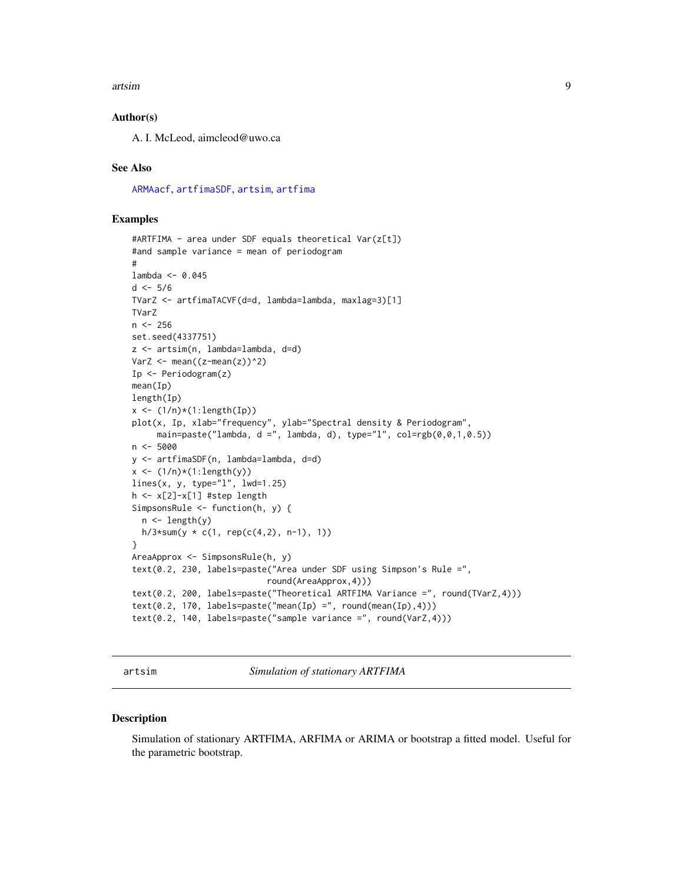#### <span id="page-8-0"></span>artsim 9

#### Author(s)

A. I. McLeod, aimcleod@uwo.ca

#### See Also

[ARMAacf](#page-0-0), [artfimaSDF](#page-5-1), [artsim](#page-8-1), [artfima](#page-2-1)

#### Examples

```
#ARTFIMA - area under SDF equals theoretical Var(z[t])
#and sample variance = mean of periodogram
#
lambda <- 0.045
d < -5/6TVarZ <- artfimaTACVF(d=d, lambda=lambda, maxlag=3)[1]
TVarZ
n <- 256
set.seed(4337751)
z <- artsim(n, lambda=lambda, d=d)
VarZ \leftarrow mean((z-mean(z))^2)
Ip <- Periodogram(z)
mean(Ip)
length(Ip)
x \leftarrow (1/n)*(1:\text{length}(\text{Ip}))plot(x, Ip, xlab="frequency", ylab="Spectral density & Periodogram",
     main=paste("lambda, d =", lambda, d), type="l", col=rgb(0,0,1,0.5))
n < -5000y <- artfimaSDF(n, lambda=lambda, d=d)
x \leftarrow (1/n) * (1:length(y))lines(x, y, type="l", lwd=1.25)
h <- x[2]-x[1] #step length
SimpsonsRule <- function(h, y) {
  n <- length(y)
  h/3*sum(y * c(1, rep(c(4,2), n-1), 1))}
AreaApprox <- SimpsonsRule(h, y)
text(0.2, 230, labels=paste("Area under SDF using Simpson's Rule =",
                            round(AreaApprox,4)))
text(0.2, 200, labels=paste("Theoretical ARTFIMA Variance =", round(TVarZ,4)))
text(0.2, 170, labels=paste("mean(Ip) =", round(mean(Ip),4)))
text(0.2, 140, labels=paste("sample variance =", round(VarZ,4)))
```
<span id="page-8-1"></span>artsim *Simulation of stationary ARTFIMA*

#### Description

Simulation of stationary ARTFIMA, ARFIMA or ARIMA or bootstrap a fitted model. Useful for the parametric bootstrap.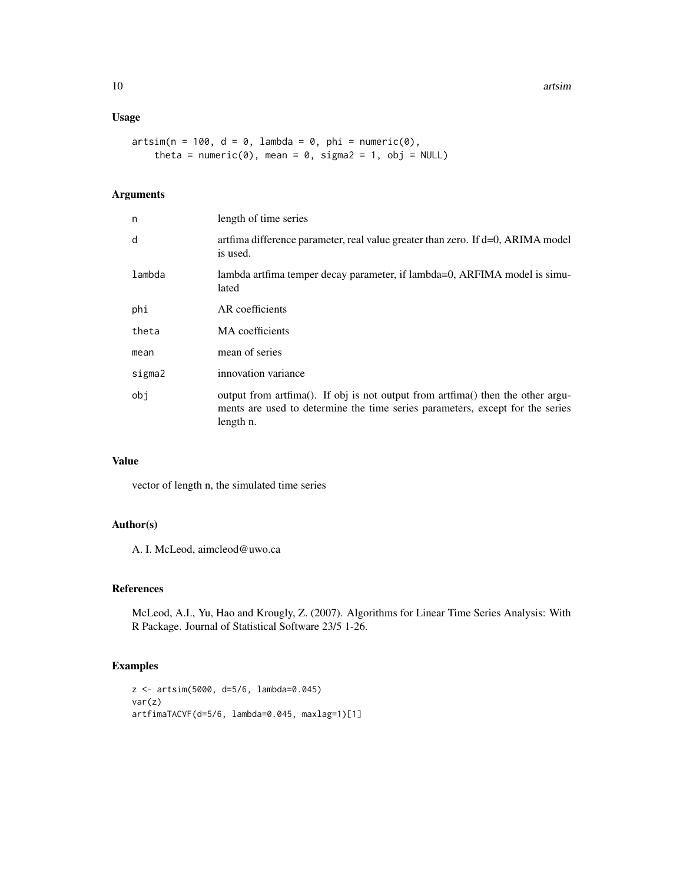## Usage

```
artsim(n = 100, d = 0, lambda = 0, phi = numeric(0),theta = numeric(0), mean = 0, sigma2 = 1, obj = NULL)
```
## Arguments

| d<br>is used.<br>lambda<br>lated<br>phi<br>AR coefficients<br>theta<br>MA coefficients<br>mean of series<br>mean<br>innovation variance<br>sigma2<br>obi<br>length n. | n | length of time series                                                                                                                                            |
|-----------------------------------------------------------------------------------------------------------------------------------------------------------------------|---|------------------------------------------------------------------------------------------------------------------------------------------------------------------|
|                                                                                                                                                                       |   | artfima difference parameter, real value greater than zero. If d=0, ARIMA model                                                                                  |
|                                                                                                                                                                       |   | lambda artfima temper decay parameter, if lambda=0, ARFIMA model is simu-                                                                                        |
|                                                                                                                                                                       |   |                                                                                                                                                                  |
|                                                                                                                                                                       |   |                                                                                                                                                                  |
|                                                                                                                                                                       |   |                                                                                                                                                                  |
|                                                                                                                                                                       |   |                                                                                                                                                                  |
|                                                                                                                                                                       |   | output from artfima(). If obj is not output from artfima() then the other argu-<br>ments are used to determine the time series parameters, except for the series |

### Value

vector of length n, the simulated time series

## Author(s)

A. I. McLeod, aimcleod@uwo.ca

## References

McLeod, A.I., Yu, Hao and Krougly, Z. (2007). Algorithms for Linear Time Series Analysis: With R Package. Journal of Statistical Software 23/5 1-26.

```
z <- artsim(5000, d=5/6, lambda=0.045)
var(z)
artfimaTACVF(d=5/6, lambda=0.045, maxlag=1)[1]
```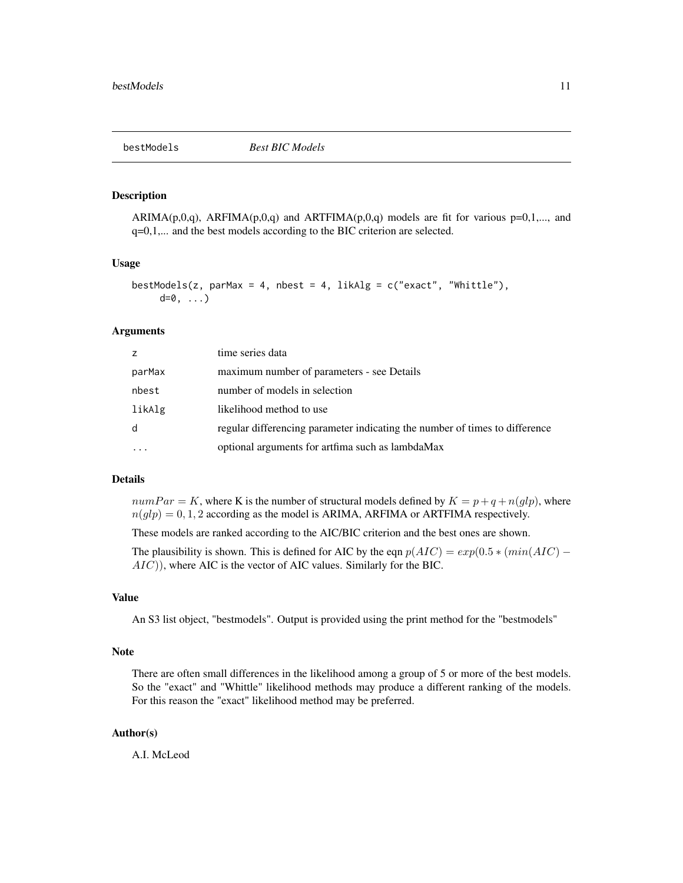<span id="page-10-1"></span><span id="page-10-0"></span>

## Description

 $ARIMA(p,0,q)$ ,  $ARFIMA(p,0,q)$  and  $ARTFIMA(p,0,q)$  models are fit for various  $p=0,1,...,$  and q=0,1,... and the best models according to the BIC criterion are selected.

## Usage

```
bestModels(z, parMax = 4, nbest = 4, likAlg = c("exact", "White"),d=0, \ldots)
```
## Arguments

| Z.     | time series data                                                            |
|--------|-----------------------------------------------------------------------------|
| parMax | maximum number of parameters - see Details                                  |
| nbest  | number of models in selection                                               |
| likAlg | likelihood method to use                                                    |
| d      | regular differencing parameter indicating the number of times to difference |
| .      | optional arguments for artfima such as lambdaMax                            |

#### Details

 $numPar = K$ , where K is the number of structural models defined by  $K = p + q + n(qlp)$ , where  $n(qlp) = 0, 1, 2$  according as the model is ARIMA, ARFIMA or ARTFIMA respectively.

These models are ranked according to the AIC/BIC criterion and the best ones are shown.

The plausibility is shown. This is defined for AIC by the eqn  $p(AIC) = exp(0.5 * (min(AIC) AIC$ ), where AIC is the vector of AIC values. Similarly for the BIC.

#### Value

An S3 list object, "bestmodels". Output is provided using the print method for the "bestmodels"

#### Note

There are often small differences in the likelihood among a group of 5 or more of the best models. So the "exact" and "Whittle" likelihood methods may produce a different ranking of the models. For this reason the "exact" likelihood method may be preferred.

#### Author(s)

A.I. McLeod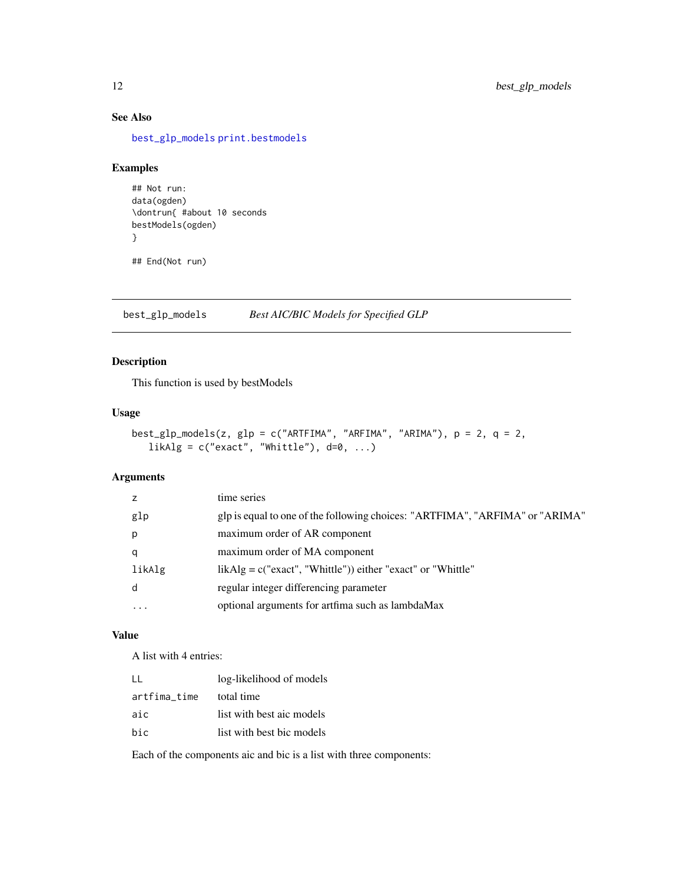## See Also

[best\\_glp\\_models](#page-11-1) [print.bestmodels](#page-22-1)

## Examples

```
## Not run:
data(ogden)
\dontrun{ #about 10 seconds
bestModels(ogden)
}
```
## End(Not run)

<span id="page-11-1"></span>best\_glp\_models *Best AIC/BIC Models for Specified GLP*

## Description

This function is used by bestModels

#### Usage

```
best_glp_models(z, glp = c("ARTFIMA", "ARFIMA", "ARIMA"), p = 2, q = 2,
  likAlg = c("exact", "White"), d=0, ...)
```
## Arguments

|        | time series                                                                  |
|--------|------------------------------------------------------------------------------|
| glp    | glp is equal to one of the following choices: "ARTFIMA", "ARFIMA" or "ARIMA" |
| p      | maximum order of AR component                                                |
| q      | maximum order of MA component                                                |
| likAlg | $likAlg = c("exact", "White")$ either "exact" or "Whittle"                   |
| d      | regular integer differencing parameter                                       |
| .      | optional arguments for artfima such as lambdaMax                             |
|        |                                                                              |

## Value

A list with 4 entries:

| $\perp$      | log-likelihood of models  |
|--------------|---------------------------|
| artfima time | total time                |
| aic          | list with best aic models |
| bic          | list with best bic models |

Each of the components aic and bic is a list with three components:

<span id="page-11-0"></span>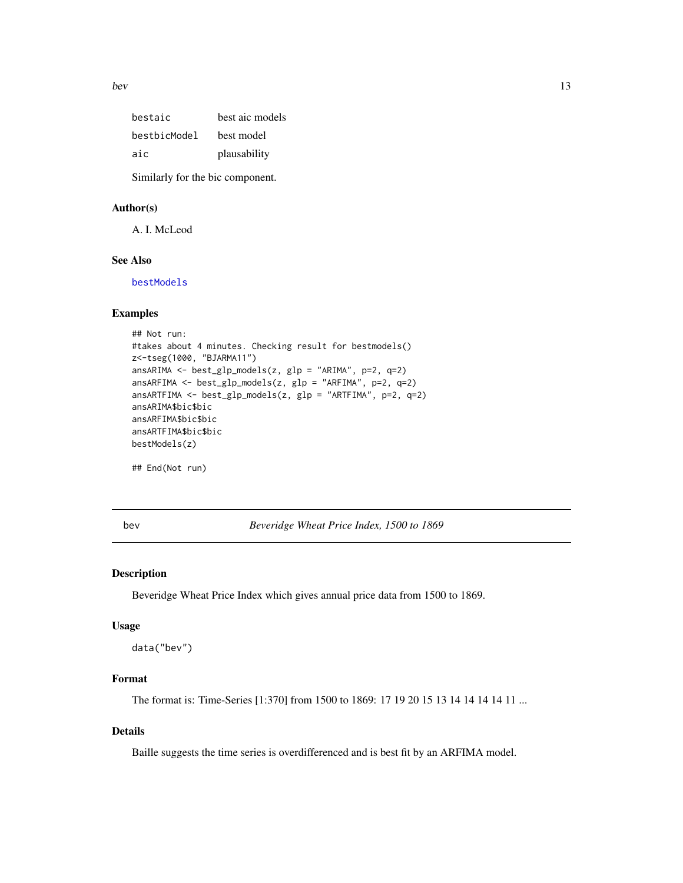<span id="page-12-0"></span>bev 13

| bestaic      | best aic models |
|--------------|-----------------|
| bestbicModel | best model      |
| aic          | plausability    |

Similarly for the bic component.

## Author(s)

A. I. McLeod

## See Also

[bestModels](#page-10-1)

## Examples

```
## Not run:
#takes about 4 minutes. Checking result for bestmodels()
z<-tseg(1000, "BJARMA11")
ansARIMA <- best_glp_models(z, glp = "ARIMA", p=2, q=2)
ansARFIMA <- best_glp_models(z, glp = "ARFIMA", p=2, q=2)
ansARTFIMA <- best_glp_models(z, glp = "ARTFIMA", p=2, q=2)
ansARIMA$bic$bic
ansARFIMA$bic$bic
ansARTFIMA$bic$bic
bestModels(z)
```
## End(Not run)

bev *Beveridge Wheat Price Index, 1500 to 1869*

#### Description

Beveridge Wheat Price Index which gives annual price data from 1500 to 1869.

#### Usage

```
data("bev")
```
#### Format

The format is: Time-Series [1:370] from 1500 to 1869: 17 19 20 15 13 14 14 14 14 11 ...

## Details

Baille suggests the time series is overdifferenced and is best fit by an ARFIMA model.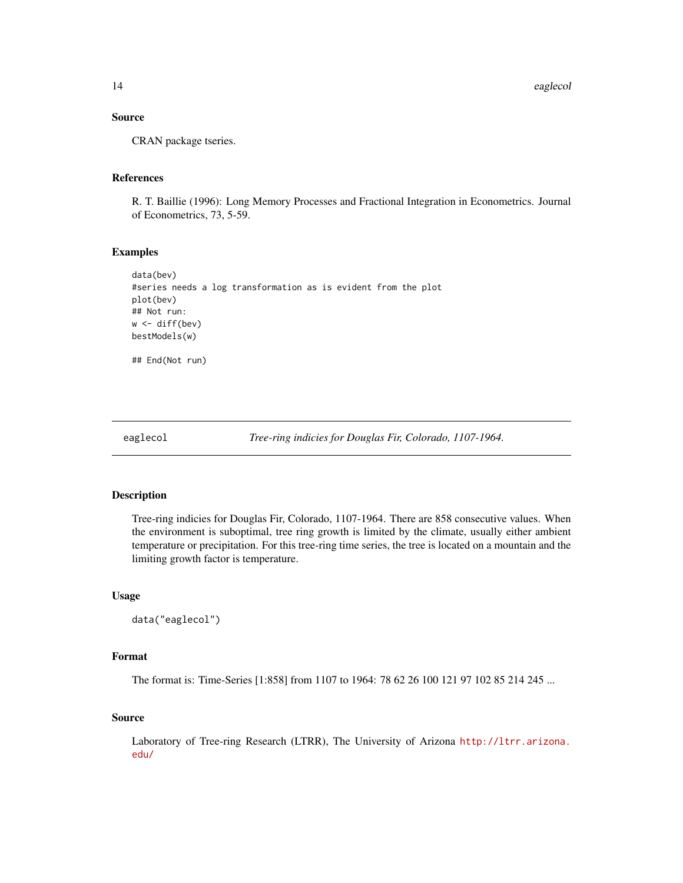## <span id="page-13-0"></span>Source

CRAN package tseries.

## References

R. T. Baillie (1996): Long Memory Processes and Fractional Integration in Econometrics. Journal of Econometrics, 73, 5-59.

#### Examples

```
data(bev)
#series needs a log transformation as is evident from the plot
plot(bev)
## Not run:
w <- diff(bev)
bestModels(w)
## End(Not run)
```
eaglecol *Tree-ring indicies for Douglas Fir, Colorado, 1107-1964.*

#### Description

Tree-ring indicies for Douglas Fir, Colorado, 1107-1964. There are 858 consecutive values. When the environment is suboptimal, tree ring growth is limited by the climate, usually either ambient temperature or precipitation. For this tree-ring time series, the tree is located on a mountain and the limiting growth factor is temperature.

## Usage

```
data("eaglecol")
```
## Format

The format is: Time-Series [1:858] from 1107 to 1964: 78 62 26 100 121 97 102 85 214 245 ...

#### Source

Laboratory of Tree-ring Research (LTRR), The University of Arizona [http://ltrr.arizona.](http://ltrr.arizona.edu/) [edu/](http://ltrr.arizona.edu/)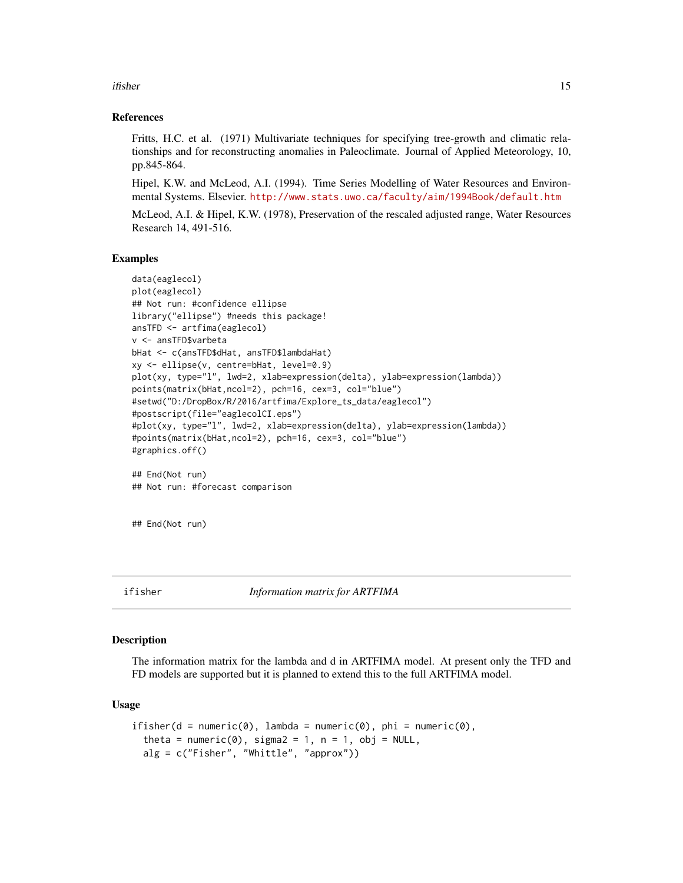<span id="page-14-0"></span>ifisher 15

#### References

Fritts, H.C. et al. (1971) Multivariate techniques for specifying tree-growth and climatic relationships and for reconstructing anomalies in Paleoclimate. Journal of Applied Meteorology, 10, pp.845-864.

Hipel, K.W. and McLeod, A.I. (1994). Time Series Modelling of Water Resources and Environmental Systems. Elsevier. <http://www.stats.uwo.ca/faculty/aim/1994Book/default.htm>

McLeod, A.I. & Hipel, K.W. (1978), Preservation of the rescaled adjusted range, Water Resources Research 14, 491-516.

#### Examples

```
data(eaglecol)
plot(eaglecol)
## Not run: #confidence ellipse
library("ellipse") #needs this package!
ansTFD <- artfima(eaglecol)
v <- ansTFD$varbeta
bHat <- c(ansTFD$dHat, ansTFD$lambdaHat)
xy <- ellipse(v, centre=bHat, level=0.9)
plot(xy, type="l", lwd=2, xlab=expression(delta), ylab=expression(lambda))
points(matrix(bHat,ncol=2), pch=16, cex=3, col="blue")
#setwd("D:/DropBox/R/2016/artfima/Explore_ts_data/eaglecol")
#postscript(file="eaglecolCI.eps")
#plot(xy, type="l", lwd=2, xlab=expression(delta), ylab=expression(lambda))
#points(matrix(bHat,ncol=2), pch=16, cex=3, col="blue")
#graphics.off()
## End(Not run)
## Not run: #forecast comparison
```
## End(Not run)

#### Description

The information matrix for the lambda and d in ARTFIMA model. At present only the TFD and FD models are supported but it is planned to extend this to the full ARTFIMA model.

#### Usage

```
ifisher(d = numeric(0), lambda = numeric(0), phi = numeric(0),
  theta = numeric(0), sigma2 = 1, n = 1, obj = NULL,
 alg = c("Fisher", "Whittle", "approx"))
```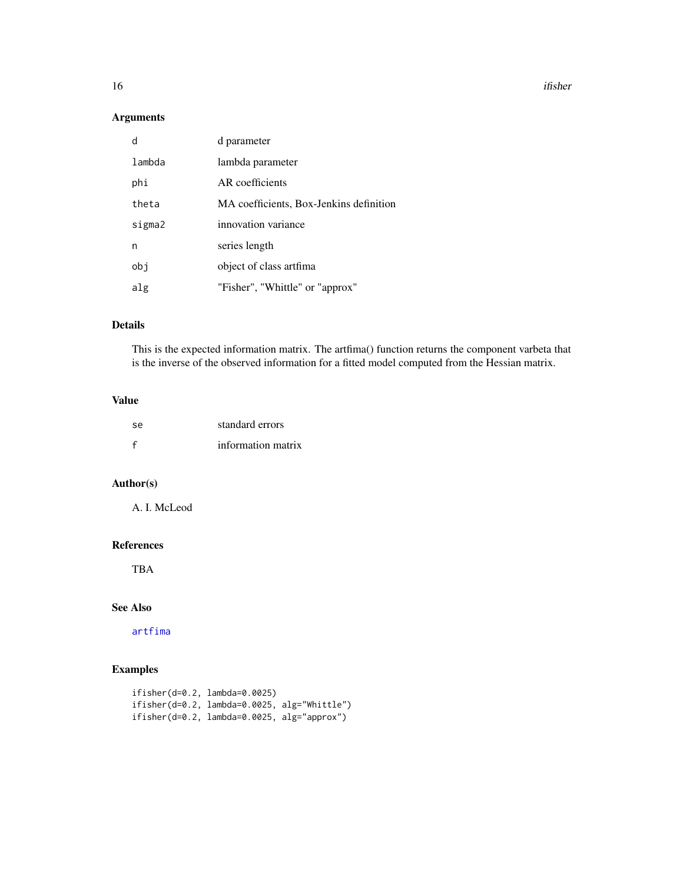#### 16 ifisher was a statement of the statement of the statement of the statement of the statement of the statement of the statement of the statement of the statement of the statement of the statement of the statement of the s

## Arguments

| d      | d parameter                             |
|--------|-----------------------------------------|
| lambda | lambda parameter                        |
| phi    | AR coefficients                         |
| theta  | MA coefficients, Box-Jenkins definition |
| sigma2 | innovation variance                     |
| n      | series length                           |
| obj    | object of class artfima                 |
| alg    | "Fisher", "Whittle" or "approx"         |

## Details

This is the expected information matrix. The artfima() function returns the component varbeta that is the inverse of the observed information for a fitted model computed from the Hessian matrix.

#### Value

| -Se | standard errors    |
|-----|--------------------|
|     | information matrix |

## Author(s)

A. I. McLeod

## References

TBA

## See Also

[artfima](#page-2-1)

```
ifisher(d=0.2, lambda=0.0025)
ifisher(d=0.2, lambda=0.0025, alg="Whittle")
ifisher(d=0.2, lambda=0.0025, alg="approx")
```
<span id="page-15-0"></span>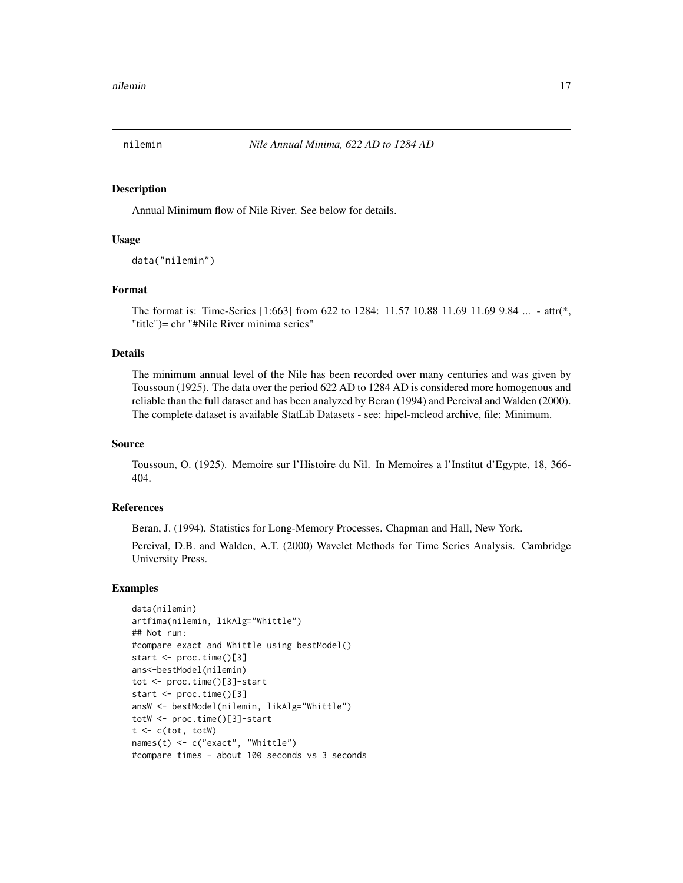<span id="page-16-0"></span>

#### Description

Annual Minimum flow of Nile River. See below for details.

#### Usage

```
data("nilemin")
```
## Format

The format is: Time-Series [1:663] from 622 to 1284: 11.57 10.88 11.69 11.69 9.84 ... - attr(\*, "title")= chr "#Nile River minima series"

#### Details

The minimum annual level of the Nile has been recorded over many centuries and was given by Toussoun (1925). The data over the period 622 AD to 1284 AD is considered more homogenous and reliable than the full dataset and has been analyzed by Beran (1994) and Percival and Walden (2000). The complete dataset is available StatLib Datasets - see: hipel-mcleod archive, file: Minimum.

#### Source

Toussoun, O. (1925). Memoire sur l'Histoire du Nil. In Memoires a l'Institut d'Egypte, 18, 366- 404.

## References

Beran, J. (1994). Statistics for Long-Memory Processes. Chapman and Hall, New York.

Percival, D.B. and Walden, A.T. (2000) Wavelet Methods for Time Series Analysis. Cambridge University Press.

```
data(nilemin)
artfima(nilemin, likAlg="Whittle")
## Not run:
#compare exact and Whittle using bestModel()
start <- proc.time()[3]
ans<-bestModel(nilemin)
tot <- proc.time()[3]-start
start <- proc.time()[3]
ansW <- bestModel(nilemin, likAlg="Whittle")
totW <- proc.time()[3]-start
t < -c(tot, tot)names(t) <- c("exact", "Whittle")
#compare times - about 100 seconds vs 3 seconds
```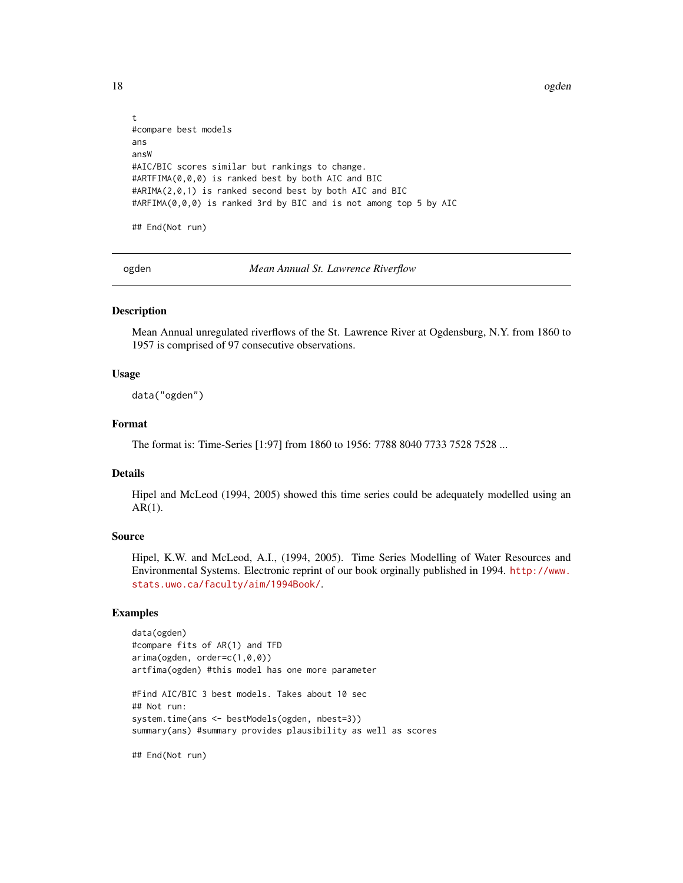<span id="page-17-0"></span>18 ogden ble større og den ble større og den ble større og den ble større og den ble større og den ble større o

```
t
#compare best models
ans
ansW
#AIC/BIC scores similar but rankings to change.
#ARTFIMA(0,0,0) is ranked best by both AIC and BIC
#ARIMA(2,0,1) is ranked second best by both AIC and BIC
#ARFIMA(0,0,0) is ranked 3rd by BIC and is not among top 5 by AIC
## End(Not run)
```
ogden *Mean Annual St. Lawrence Riverflow*

#### Description

Mean Annual unregulated riverflows of the St. Lawrence River at Ogdensburg, N.Y. from 1860 to 1957 is comprised of 97 consecutive observations.

#### Usage

data("ogden")

#### Format

The format is: Time-Series [1:97] from 1860 to 1956: 7788 8040 7733 7528 7528 ...

#### Details

Hipel and McLeod (1994, 2005) showed this time series could be adequately modelled using an  $AR(1)$ .

#### Source

Hipel, K.W. and McLeod, A.I., (1994, 2005). Time Series Modelling of Water Resources and Environmental Systems. Electronic reprint of our book orginally published in 1994. [http://www.](http://www.stats.uwo.ca/faculty/aim/1994Book/) [stats.uwo.ca/faculty/aim/1994Book/](http://www.stats.uwo.ca/faculty/aim/1994Book/).

## Examples

data(ogden) #compare fits of AR(1) and TFD arima(ogden, order=c(1,0,0)) artfima(ogden) #this model has one more parameter #Find AIC/BIC 3 best models. Takes about 10 sec ## Not run:

system.time(ans <- bestModels(ogden, nbest=3)) summary(ans) #summary provides plausibility as well as scores

## End(Not run)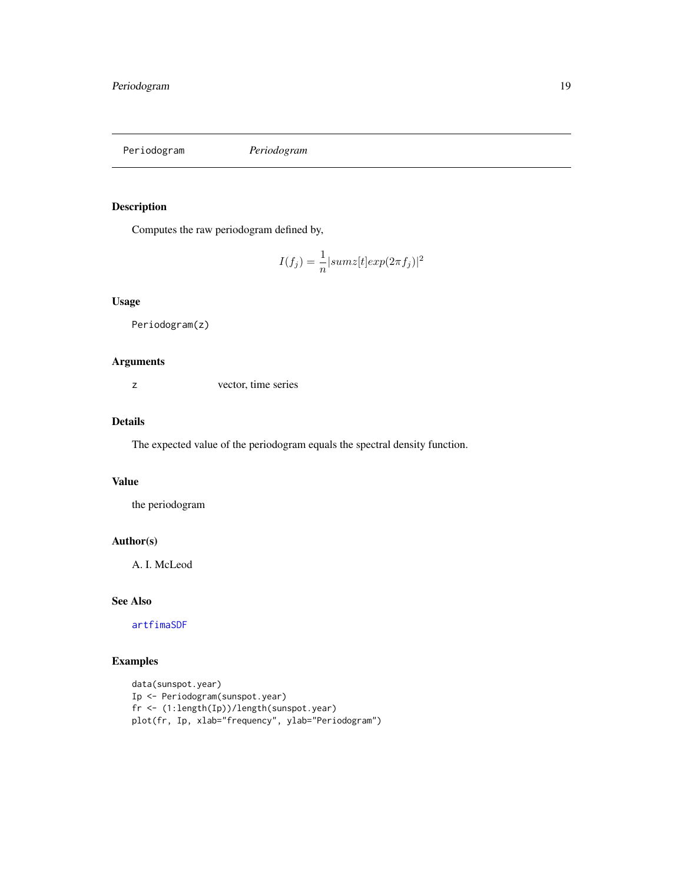<span id="page-18-1"></span><span id="page-18-0"></span>Periodogram *Periodogram*

## Description

Computes the raw periodogram defined by,

$$
I(f_j) = \frac{1}{n} |sumz[t] exp(2\pi f_j)|^2
$$

## Usage

Periodogram(z)

## Arguments

z vector, time series

### Details

The expected value of the periodogram equals the spectral density function.

## Value

the periodogram

## Author(s)

A. I. McLeod

## See Also

[artfimaSDF](#page-5-1)

```
data(sunspot.year)
Ip <- Periodogram(sunspot.year)
fr <- (1:length(Ip))/length(sunspot.year)
plot(fr, Ip, xlab="frequency", ylab="Periodogram")
```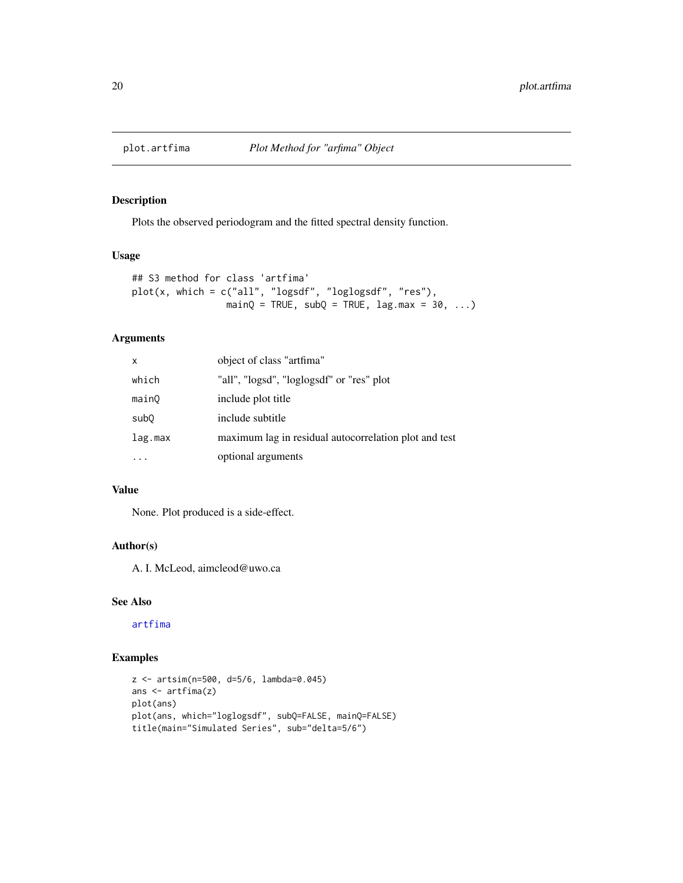<span id="page-19-0"></span>

## Description

Plots the observed periodogram and the fitted spectral density function.

#### Usage

```
## S3 method for class 'artfima'
plot(x, which = c("all", "logsdf", "loglogsdf", "res"),
                mainQ = TRUE, subQ = TRUE, lag.max = 30, ...)
```
## Arguments

| $\mathsf{x}$     | object of class "artfima"                             |
|------------------|-------------------------------------------------------|
| which            | "all", "logsd", "loglogsdf" or "res" plot             |
| mainQ            | include plot title                                    |
| sub <sub>0</sub> | include subtitle                                      |
| lag.max          | maximum lag in residual autocorrelation plot and test |
|                  | optional arguments                                    |

## Value

None. Plot produced is a side-effect.

## Author(s)

A. I. McLeod, aimcleod@uwo.ca

## See Also

[artfima](#page-2-1)

```
z <- artsim(n=500, d=5/6, lambda=0.045)
ans <- artfima(z)
plot(ans)
plot(ans, which="loglogsdf", subQ=FALSE, mainQ=FALSE)
title(main="Simulated Series", sub="delta=5/6")
```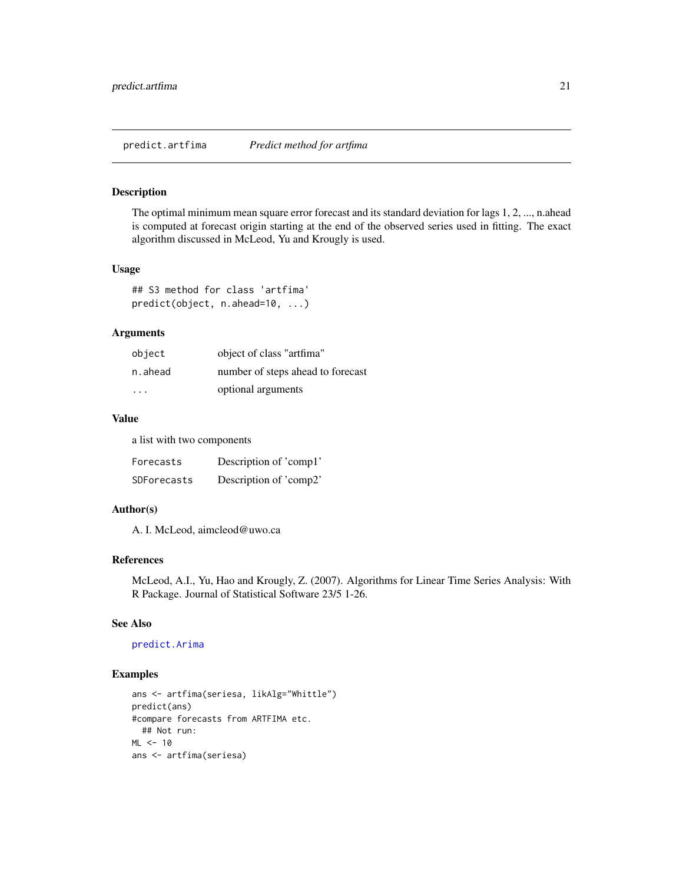#### <span id="page-20-0"></span>Description

The optimal minimum mean square error forecast and its standard deviation for lags 1, 2, ..., n.ahead is computed at forecast origin starting at the end of the observed series used in fitting. The exact algorithm discussed in McLeod, Yu and Krougly is used.

#### Usage

```
## S3 method for class 'artfima'
predict(object, n.ahead=10, ...)
```
#### Arguments

| object                  | object of class "artfima"         |
|-------------------------|-----------------------------------|
| n.ahead                 | number of steps ahead to forecast |
| $\cdot$ $\cdot$ $\cdot$ | optional arguments                |

#### Value

a list with two components

| Forecasts   | Description of 'comp1' |
|-------------|------------------------|
| SDForecasts | Description of 'comp2' |

#### Author(s)

A. I. McLeod, aimcleod@uwo.ca

## References

McLeod, A.I., Yu, Hao and Krougly, Z. (2007). Algorithms for Linear Time Series Analysis: With R Package. Journal of Statistical Software 23/5 1-26.

#### See Also

#### [predict.Arima](#page-0-0)

```
ans <- artfima(seriesa, likAlg="Whittle")
predict(ans)
#compare forecasts from ARTFIMA etc.
  ## Not run:
ML < -10ans <- artfima(seriesa)
```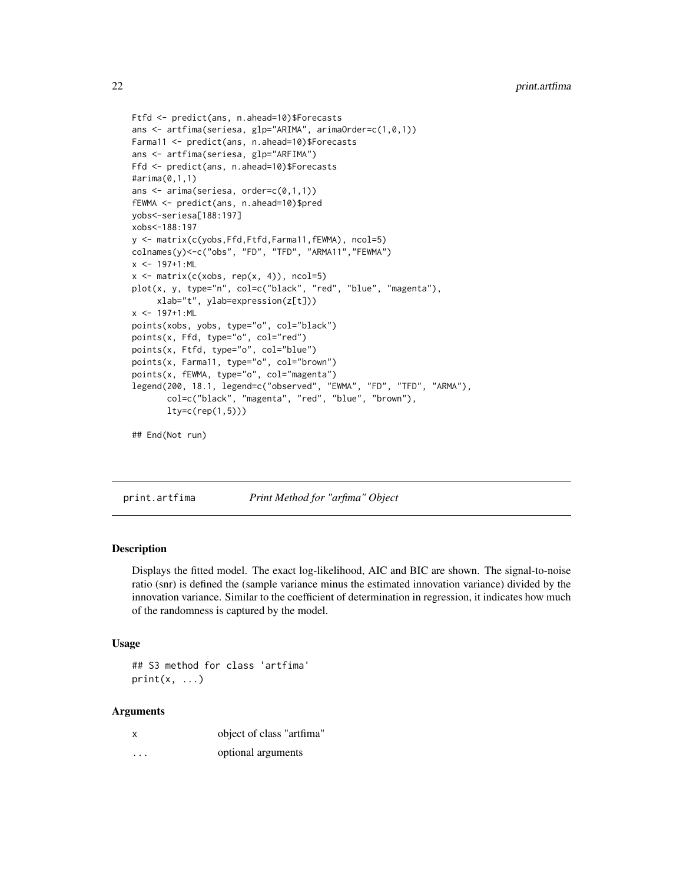```
Ftfd <- predict(ans, n.ahead=10)$Forecasts
ans <- artfima(seriesa, glp="ARIMA", arimaOrder=c(1,0,1))
Farma11 <- predict(ans, n.ahead=10)$Forecasts
ans <- artfima(seriesa, glp="ARFIMA")
Ffd <- predict(ans, n.ahead=10)$Forecasts
#arima(0,1,1)
ans <- arima(seriesa, order=c(0,1,1))
fEWMA <- predict(ans, n.ahead=10)$pred
yobs<-seriesa[188:197]
xobs<-188:197
y <- matrix(c(yobs,Ffd,Ftfd,Farma11,fEWMA), ncol=5)
colnames(y)<-c("obs", "FD", "TFD", "ARMA11","FEWMA")
x <- 197+1: ML
x \le matrix(c(xobs, rep(x, 4)), ncol=5)
plot(x, y, type="n", col=c("black", "red", "blue", "magenta"),
     xlab="t", ylab=expression(z[t]))
x < -197+1:MLpoints(xobs, yobs, type="o", col="black")
points(x, Ffd, type="o", col="red")
points(x, Ftfd, type="o", col="blue")
points(x, Farma11, type="o", col="brown")
points(x, fEWMA, type="o", col="magenta")
legend(200, 18.1, legend=c("observed", "EWMA", "FD", "TFD", "ARMA"),
       col=c("black", "magenta", "red", "blue", "brown"),
       lty=c(rep(1,5)))
```

```
## End(Not run)
```
print.artfima *Print Method for "arfima" Object*

#### Description

Displays the fitted model. The exact log-likelihood, AIC and BIC are shown. The signal-to-noise ratio (snr) is defined the (sample variance minus the estimated innovation variance) divided by the innovation variance. Similar to the coefficient of determination in regression, it indicates how much of the randomness is captured by the model.

#### Usage

```
## S3 method for class 'artfima'
print(x, \ldots)
```
#### Arguments

x object of class "artfima"

... optional arguments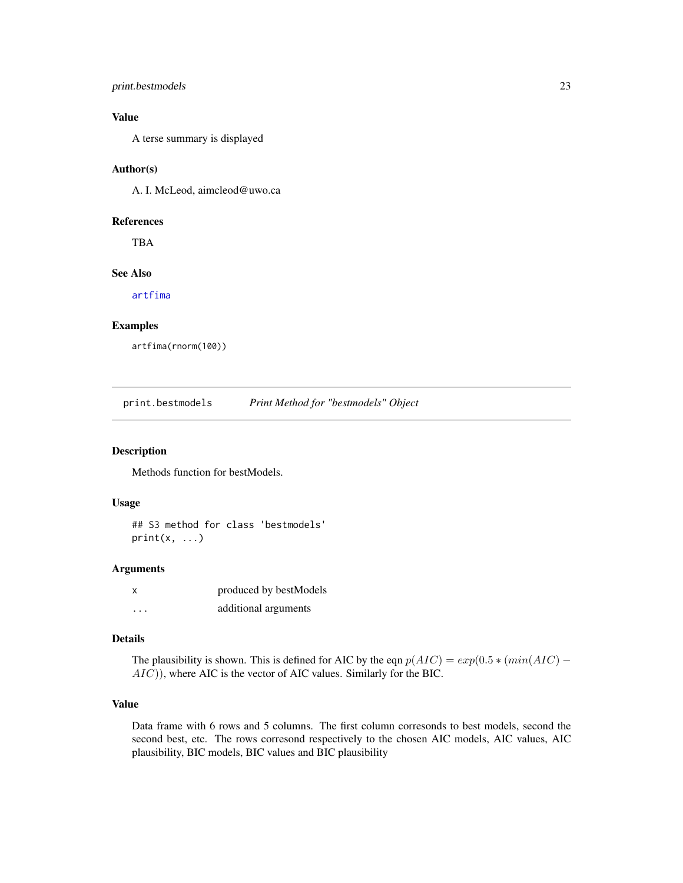## <span id="page-22-0"></span>print.bestmodels 23

## Value

A terse summary is displayed

#### Author(s)

A. I. McLeod, aimcleod@uwo.ca

#### References

TBA

#### See Also

[artfima](#page-2-1)

## Examples

artfima(rnorm(100))

<span id="page-22-1"></span>print.bestmodels *Print Method for "bestmodels" Object*

## Description

Methods function for bestModels.

## Usage

## S3 method for class 'bestmodels'  $print(x, \ldots)$ 

#### Arguments

| x        | produced by bestModels |
|----------|------------------------|
| $\cdots$ | additional arguments   |

#### Details

The plausibility is shown. This is defined for AIC by the eqn  $p(AIC) = exp(0.5 * (min(AIC) -$ AIC)), where AIC is the vector of AIC values. Similarly for the BIC.

## Value

Data frame with 6 rows and 5 columns. The first column corresonds to best models, second the second best, etc. The rows corresond respectively to the chosen AIC models, AIC values, AIC plausibility, BIC models, BIC values and BIC plausibility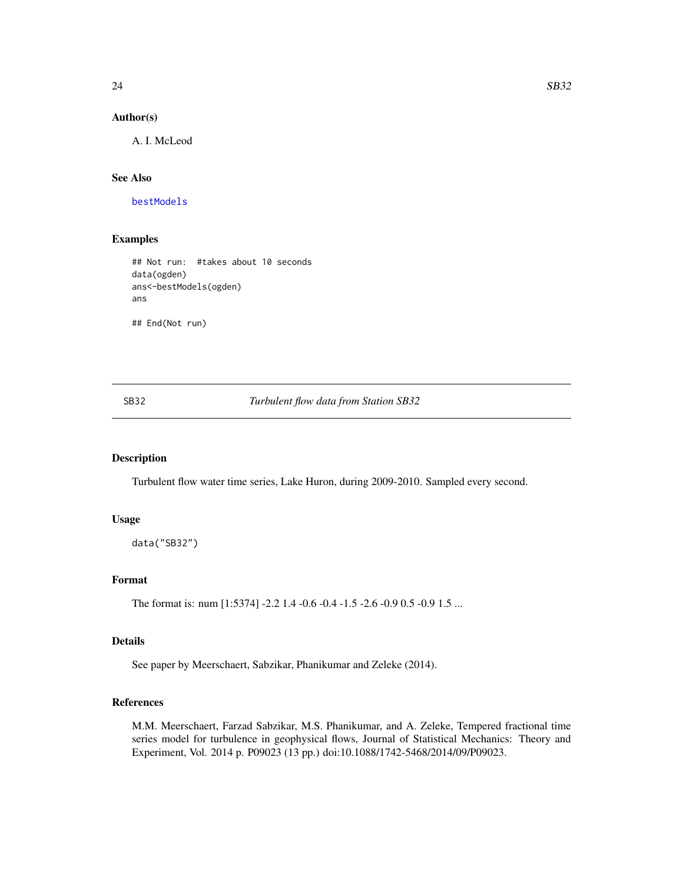## <span id="page-23-0"></span>Author(s)

A. I. McLeod

## See Also

[bestModels](#page-10-1)

## Examples

## Not run: #takes about 10 seconds data(ogden) ans<-bestModels(ogden) ans ## End(Not run)

SB32 *Turbulent flow data from Station SB32*

## Description

Turbulent flow water time series, Lake Huron, during 2009-2010. Sampled every second.

#### Usage

data("SB32")

#### Format

```
The format is: num [1:5374] -2.2 1.4 -0.6 -0.4 -1.5 -2.6 -0.9 0.5 -0.9 1.5 ...
```
### Details

See paper by Meerschaert, Sabzikar, Phanikumar and Zeleke (2014).

#### References

M.M. Meerschaert, Farzad Sabzikar, M.S. Phanikumar, and A. Zeleke, Tempered fractional time series model for turbulence in geophysical flows, Journal of Statistical Mechanics: Theory and Experiment, Vol. 2014 p. P09023 (13 pp.) doi:10.1088/1742-5468/2014/09/P09023.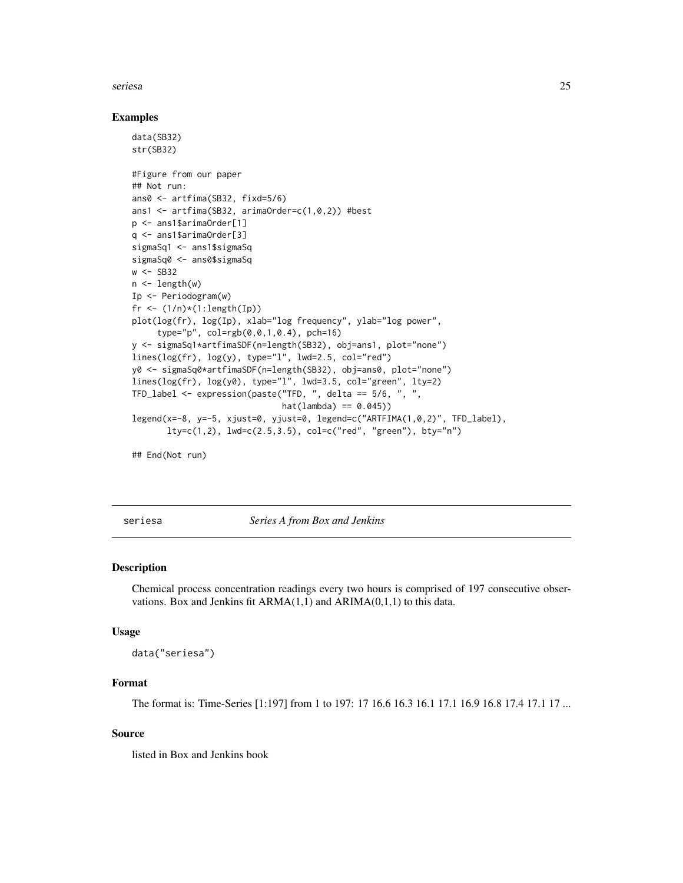#### <span id="page-24-0"></span>seriesa 25

#### Examples

```
data(SB32)
str(SB32)
#Figure from our paper
## Not run:
ans0 <- artfima(SB32, fixd=5/6)
ans1 <- artfima(SB32, arimaOrder=c(1,0,2)) #best
p <- ans1$arimaOrder[1]
q <- ans1$arimaOrder[3]
sigmaSq1 <- ans1$sigmaSq
sigmaSq0 <- ans0$sigmaSq
w < -SB32
n <- length(w)
Ip <- Periodogram(w)
fr \leq (1/n)*(1:\text{length}(\text{Ip}))plot(log(fr), log(Ip), xlab="log frequency", ylab="log power",
     type="p", col=rgb(0,0,1,0.4), pch=16)
y <- sigmaSq1*artfimaSDF(n=length(SB32), obj=ans1, plot="none")
lines(log(fr), log(y), type="l", lwd=2.5, col="red")
y0 <- sigmaSq0*artfimaSDF(n=length(SB32), obj=ans0, plot="none")
lines(log(fr), log(y0), type="l", lwd=3.5, col="green", lty=2)
TFD_label <- expression(paste("TFD, ", delta == 5/6, ", ",
                               hat(lambda) = 0.045)legend(x=-8, y=-5, xjust=0, yjust=0, legend=c("ARTFIMA(1,0,2)", TFD_label),
       lty=c(1,2), lwd=c(2.5,3.5), col=c("red", "green"), bty="n")
## End(Not run)
```
seriesa *Series A from Box and Jenkins*

#### Description

Chemical process concentration readings every two hours is comprised of 197 consecutive observations. Box and Jenkins fit  $ARMA(1,1)$  and  $ARIMA(0,1,1)$  to this data.

#### Usage

data("seriesa")

## Format

The format is: Time-Series [1:197] from 1 to 197: 17 16.6 16.3 16.1 17.1 16.9 16.8 17.4 17.1 17 ...

## Source

listed in Box and Jenkins book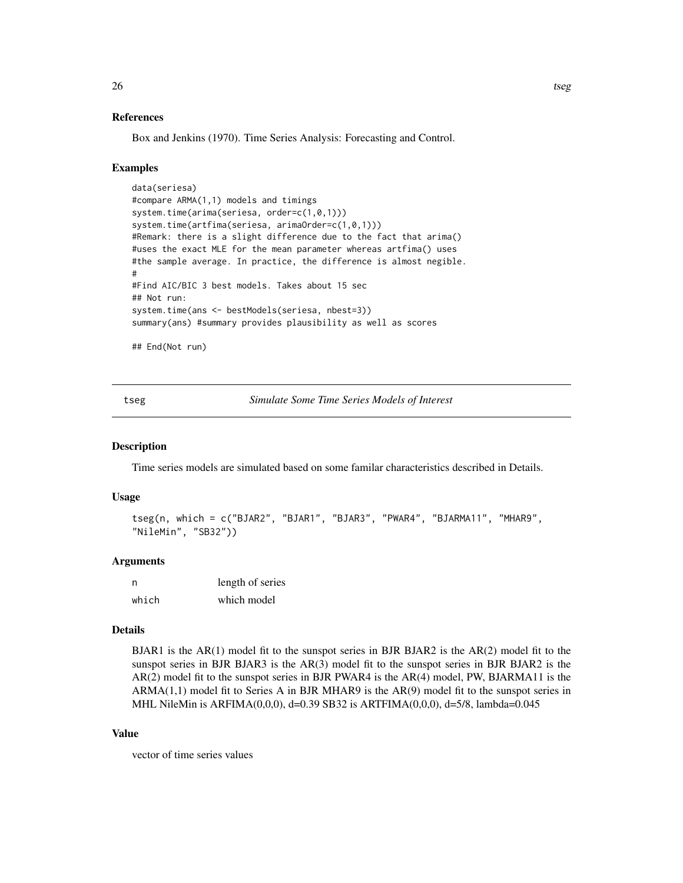#### References

Box and Jenkins (1970). Time Series Analysis: Forecasting and Control.

#### Examples

```
data(seriesa)
#compare ARMA(1,1) models and timings
system.time(arima(seriesa, order=c(1,0,1)))
system.time(artfima(seriesa, arimaOrder=c(1,0,1)))
#Remark: there is a slight difference due to the fact that arima()
#uses the exact MLE for the mean parameter whereas artfima() uses
#the sample average. In practice, the difference is almost negible.
#
#Find AIC/BIC 3 best models. Takes about 15 sec
## Not run:
system.time(ans <- bestModels(seriesa, nbest=3))
summary(ans) #summary provides plausibility as well as scores
```

```
## End(Not run)
```
tseg *Simulate Some Time Series Models of Interest*

#### Description

Time series models are simulated based on some familar characteristics described in Details.

#### Usage

```
tseg(n, which = c("BJAR2", "BJAR1", "BJAR3", "PWAR4", "BJARMA11", "MHAR9",
"NileMin", "SB32"))
```
#### Arguments

| n     | length of series |
|-------|------------------|
| which | which model      |

#### Details

BJAR1 is the  $AR(1)$  model fit to the sunspot series in BJR BJAR2 is the  $AR(2)$  model fit to the sunspot series in BJR BJAR3 is the AR(3) model fit to the sunspot series in BJR BJAR2 is the AR(2) model fit to the sunspot series in BJR PWAR4 is the AR(4) model, PW, BJARMA11 is the  $ARMA(1,1)$  model fit to Series A in BJR MHAR9 is the  $AR(9)$  model fit to the sunspot series in MHL NileMin is  $ARFIMA(0,0,0)$ , d=0.39 SB32 is  $ARTFIMA(0,0,0)$ , d=5/8, lambda=0.045

#### Value

vector of time series values

<span id="page-25-0"></span> $26$  tseg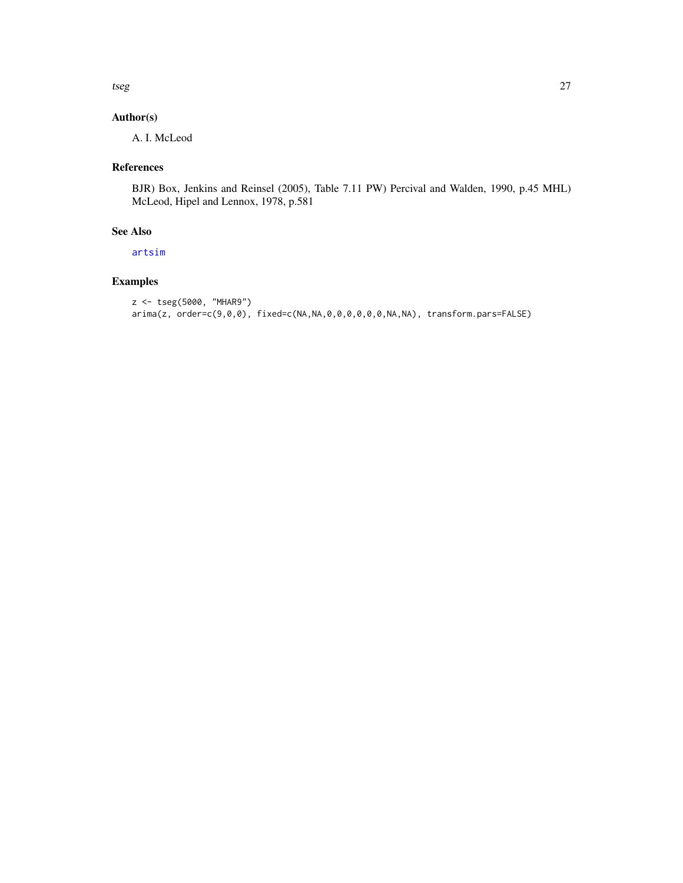<span id="page-26-0"></span>tseg 27

## Author(s)

A. I. McLeod

## References

BJR) Box, Jenkins and Reinsel (2005), Table 7.11 PW) Percival and Walden, 1990, p.45 MHL) McLeod, Hipel and Lennox, 1978, p.581

## See Also

[artsim](#page-8-1)

```
z <- tseg(5000, "MHAR9")
arima(z, order=c(9,0,0), fixed=c(NA,NA,0,0,0,0,0,0,NA,NA), transform.pars=FALSE)
```